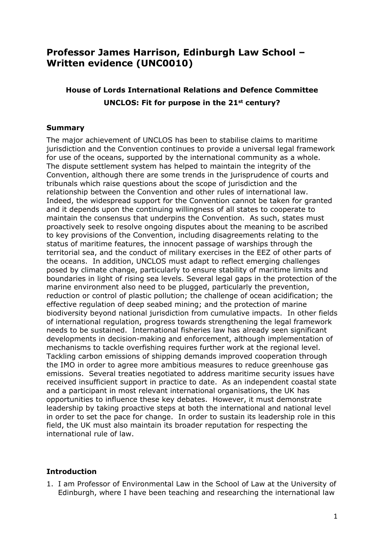# **Professor James Harrison, Edinburgh Law School – Written evidence (UNC0010)**

## **House of Lords International Relations and Defence Committee UNCLOS: Fit for purpose in the 21st century?**

## **Summary**

The major achievement of UNCLOS has been to stabilise claims to maritime jurisdiction and the Convention continues to provide a universal legal framework for use of the oceans, supported by the international community as a whole. The dispute settlement system has helped to maintain the integrity of the Convention, although there are some trends in the jurisprudence of courts and tribunals which raise questions about the scope of jurisdiction and the relationship between the Convention and other rules of international law. Indeed, the widespread support for the Convention cannot be taken for granted and it depends upon the continuing willingness of all states to cooperate to maintain the consensus that underpins the Convention. As such, states must proactively seek to resolve ongoing disputes about the meaning to be ascribed to key provisions of the Convention, including disagreements relating to the status of maritime features, the innocent passage of warships through the territorial sea, and the conduct of military exercises in the EEZ of other parts of the oceans. In addition, UNCLOS must adapt to reflect emerging challenges posed by climate change, particularly to ensure stability of maritime limits and boundaries in light of rising sea levels. Several legal gaps in the protection of the marine environment also need to be plugged, particularly the prevention, reduction or control of plastic pollution; the challenge of ocean acidification; the effective regulation of deep seabed mining; and the protection of marine biodiversity beyond national jurisdiction from cumulative impacts. In other fields of international regulation, progress towards strengthening the legal framework needs to be sustained. International fisheries law has already seen significant developments in decision-making and enforcement, although implementation of mechanisms to tackle overfishing requires further work at the regional level. Tackling carbon emissions of shipping demands improved cooperation through the IMO in order to agree more ambitious measures to reduce greenhouse gas emissions. Several treaties negotiated to address maritime security issues have received insufficient support in practice to date. As an independent coastal state and a participant in most relevant international organisations, the UK has opportunities to influence these key debates. However, it must demonstrate leadership by taking proactive steps at both the international and national level in order to set the pace for change. In order to sustain its leadership role in this field, the UK must also maintain its broader reputation for respecting the international rule of law.

#### **Introduction**

1. I am Professor of Environmental Law in the School of Law at the University of Edinburgh, where I have been teaching and researching the international law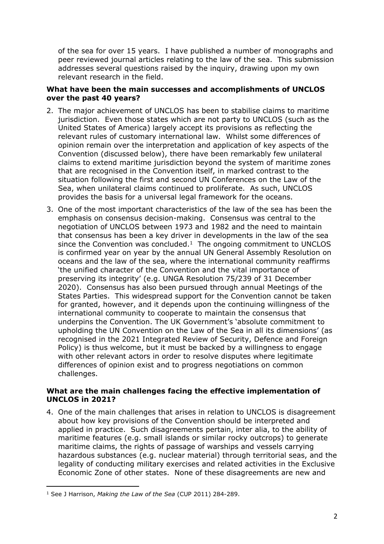of the sea for over 15 years. I have published a number of monographs and peer reviewed journal articles relating to the law of the sea. This submission addresses several questions raised by the inquiry, drawing upon my own relevant research in the field.

## **What have been the main successes and accomplishments of UNCLOS over the past 40 years?**

- 2. The major achievement of UNCLOS has been to stabilise claims to maritime jurisdiction. Even those states which are not party to UNCLOS (such as the United States of America) largely accept its provisions as reflecting the relevant rules of customary international law. Whilst some differences of opinion remain over the interpretation and application of key aspects of the Convention (discussed below), there have been remarkably few unilateral claims to extend maritime jurisdiction beyond the system of maritime zones that are recognised in the Convention itself, in marked contrast to the situation following the first and second UN Conferences on the Law of the Sea, when unilateral claims continued to proliferate. As such, UNCLOS provides the basis for a universal legal framework for the oceans.
- 3. One of the most important characteristics of the law of the sea has been the emphasis on consensus decision-making. Consensus was central to the negotiation of UNCLOS between 1973 and 1982 and the need to maintain that consensus has been a key driver in developments in the law of the sea since the Convention was concluded. $1$  The ongoing commitment to UNCLOS is confirmed year on year by the annual UN General Assembly Resolution on oceans and the law of the sea, where the international community reaffirms 'the unified character of the Convention and the vital importance of preserving its integrity' (e.g. UNGA Resolution 75/239 of 31 December 2020). Consensus has also been pursued through annual Meetings of the States Parties. This widespread support for the Convention cannot be taken for granted, however, and it depends upon the continuing willingness of the international community to cooperate to maintain the consensus that underpins the Convention. The UK Government's 'absolute commitment to upholding the UN Convention on the Law of the Sea in all its dimensions' (as recognised in the 2021 Integrated Review of Security, Defence and Foreign Policy) is thus welcome, but it must be backed by a willingness to engage with other relevant actors in order to resolve disputes where legitimate differences of opinion exist and to progress negotiations on common challenges.

## **What are the main challenges facing the effective implementation of UNCLOS in 2021?**

4. One of the main challenges that arises in relation to UNCLOS is disagreement about how key provisions of the Convention should be interpreted and applied in practice. Such disagreements pertain, inter alia, to the ability of maritime features (e.g. small islands or similar rocky outcrops) to generate maritime claims, the rights of passage of warships and vessels carrying hazardous substances (e.g. nuclear material) through territorial seas, and the legality of conducting military exercises and related activities in the Exclusive Economic Zone of other states. None of these disagreements are new and

<sup>1</sup> See J Harrison, *Making the Law of the Sea* (CUP 2011) 284-289.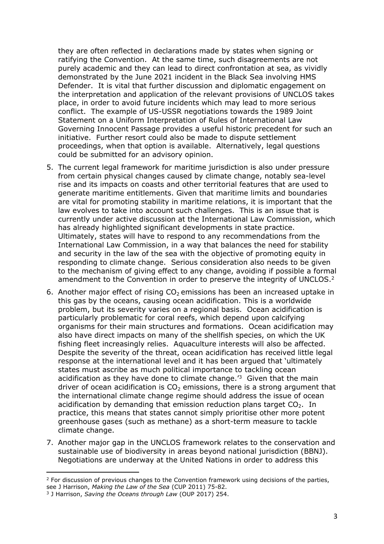they are often reflected in declarations made by states when signing or ratifying the Convention. At the same time, such disagreements are not purely academic and they can lead to direct confrontation at sea, as vividly demonstrated by the June 2021 incident in the Black Sea involving HMS Defender. It is vital that further discussion and diplomatic engagement on the interpretation and application of the relevant provisions of UNCLOS takes place, in order to avoid future incidents which may lead to more serious conflict. The example of US-USSR negotiations towards the 1989 Joint Statement on a Uniform Interpretation of Rules of International Law Governing Innocent Passage provides a useful historic precedent for such an initiative. Further resort could also be made to dispute settlement proceedings, when that option is available. Alternatively, legal questions could be submitted for an advisory opinion.

- 5. The current legal framework for maritime jurisdiction is also under pressure from certain physical changes caused by climate change, notably sea-level rise and its impacts on coasts and other territorial features that are used to generate maritime entitlements. Given that maritime limits and boundaries are vital for promoting stability in maritime relations, it is important that the law evolves to take into account such challenges. This is an issue that is currently under active discussion at the International Law Commission, which has already highlighted significant developments in state practice. Ultimately, states will have to respond to any recommendations from the International Law Commission, in a way that balances the need for stability and security in the law of the sea with the objective of promoting equity in responding to climate change. Serious consideration also needs to be given to the mechanism of giving effect to any change, avoiding if possible a formal amendment to the Convention in order to preserve the integrity of UNCLOS.<sup>2</sup>
- 6. Another major effect of rising  $CO<sub>2</sub>$  emissions has been an increased uptake in this gas by the oceans, causing ocean acidification. This is a worldwide problem, but its severity varies on a regional basis. Ocean acidification is particularly problematic for coral reefs, which depend upon calcifying organisms for their main structures and formations. Ocean acidification may also have direct impacts on many of the shellfish species, on which the UK fishing fleet increasingly relies. Aquaculture interests will also be affected. Despite the severity of the threat, ocean acidification has received little legal response at the international level and it has been argued that 'ultimately states must ascribe as much political importance to tackling ocean acidification as they have done to climate change.<sup> $3$ </sup> Given that the main driver of ocean acidification is  $CO<sub>2</sub>$  emissions, there is a strong argument that the international climate change regime should address the issue of ocean acidification by demanding that emission reduction plans target  $CO<sub>2</sub>$ . In practice, this means that states cannot simply prioritise other more potent greenhouse gases (such as methane) as a short-term measure to tackle climate change.
- 7. Another major gap in the UNCLOS framework relates to the conservation and sustainable use of biodiversity in areas beyond national jurisdiction (BBNJ). Negotiations are underway at the United Nations in order to address this

 $2$  For discussion of previous changes to the Convention framework using decisions of the parties, see J Harrison, *Making the Law of the Sea* (CUP 2011) 75-82.

<sup>3</sup> J Harrison, *Saving the Oceans through Law* (OUP 2017) 254.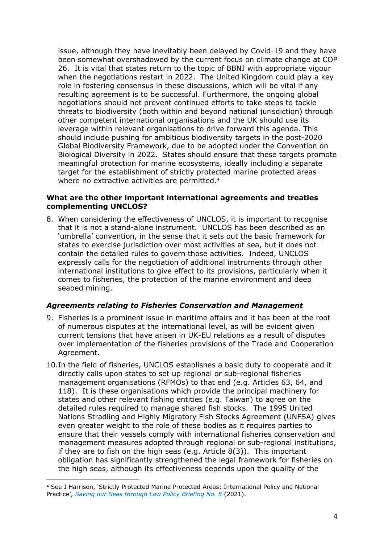issue, although they have inevitably been delayed by Covid-19 and they have been somewhat overshadowed by the current focus on climate change at COP 26. It is vital that states return to the topic of BBNJ with appropriate vigour when the negotiations restart in 2022. The United Kingdom could play a key role in fostering consensus in these discussions, which will be vital if any resulting agreement is to be successful. Furthermore, the ongoing global negotiations should not prevent continued efforts to take steps to tackle threats to biodiversity (both within and beyond national jurisdiction) through other competent international organisations and the UK should use its leverage within relevant organisations to drive forward this agenda. This should include pushing for ambitious biodiversity targets in the post-2020 Global Biodiversity Framework, due to be adopted under the Convention on Biological Diversity in 2022. States should ensure that these targets promote meaningful protection for marine ecosystems, ideally including a separate target for the establishment of strictly protected marine protected areas where no extractive activities are permitted.<sup>4</sup>

#### **What are the other important international agreements and treaties complementing UNCLOS?**

8. When considering the effectiveness of UNCLOS, it is important to recognise that it is not a stand-alone instrument. UNCLOS has been described as an 'umbrella' convention, in the sense that it sets out the basic framework for states to exercise jurisdiction over most activities at sea, but it does not contain the detailed rules to govern those activities. Indeed, UNCLOS expressly calls for the negotiation of additional instruments through other international institutions to give effect to its provisions, particularly when it comes to fisheries, the protection of the marine environment and deep seabed mining.

## *Agreements relating to Fisheries Conservation and Management*

- 9. Fisheries is a prominent issue in maritime affairs and it has been at the root of numerous disputes at the international level, as will be evident given current tensions that have arisen in UK-EU relations as a result of disputes over implementation of the fisheries provisions of the Trade and Cooperation Agreement.
- 10.In the field of fisheries, UNCLOS establishes a basic duty to cooperate and it directly calls upon states to set up regional or sub-regional fisheries management organisations (RFMOs) to that end (e.g. Articles 63, 64, and 118). It is these organisations which provide the principal machinery for states and other relevant fishing entities (e.g. Taiwan) to agree on the detailed rules required to manage shared fish stocks. The 1995 United Nations Stradling and Highly Migratory Fish Stocks Agreement (UNFSA) gives even greater weight to the role of these bodies as it requires parties to ensure that their vessels comply with international fisheries conservation and management measures adopted through regional or sub-regional institutions, if they are to fish on the high seas (e.g. Article 8(3)). This important obligation has significantly strengthened the legal framework for fisheries on the high seas, although its effectiveness depends upon the quality of the

<sup>4</sup> See J Harrison, 'Strictly Protected Marine Protected Areas: International Policy and National Practice', *[Saving](https://www.law.ed.ac.uk/sites/default/files/2021-04/Marine%20Briefing%205%20%28updated%29%20-%20ACC.pdf) [our](https://www.law.ed.ac.uk/sites/default/files/2021-04/Marine%20Briefing%205%20%28updated%29%20-%20ACC.pdf) [Seas](https://www.law.ed.ac.uk/sites/default/files/2021-04/Marine%20Briefing%205%20%28updated%29%20-%20ACC.pdf) [through](https://www.law.ed.ac.uk/sites/default/files/2021-04/Marine%20Briefing%205%20%28updated%29%20-%20ACC.pdf) [Law](https://www.law.ed.ac.uk/sites/default/files/2021-04/Marine%20Briefing%205%20%28updated%29%20-%20ACC.pdf) [Policy](https://www.law.ed.ac.uk/sites/default/files/2021-04/Marine%20Briefing%205%20%28updated%29%20-%20ACC.pdf) [Briefing](https://www.law.ed.ac.uk/sites/default/files/2021-04/Marine%20Briefing%205%20%28updated%29%20-%20ACC.pdf) [No.](https://www.law.ed.ac.uk/sites/default/files/2021-04/Marine%20Briefing%205%20%28updated%29%20-%20ACC.pdf) [5](https://www.law.ed.ac.uk/sites/default/files/2021-04/Marine%20Briefing%205%20%28updated%29%20-%20ACC.pdf)* (2021).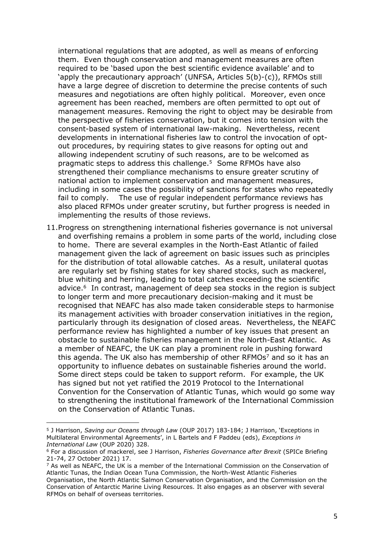international regulations that are adopted, as well as means of enforcing them. Even though conservation and management measures are often required to be 'based upon the best scientific evidence available' and to 'apply the precautionary approach' (UNFSA, Articles 5(b)-(c)), RFMOs still have a large degree of discretion to determine the precise contents of such measures and negotiations are often highly political. Moreover, even once agreement has been reached, members are often permitted to opt out of management measures. Removing the right to object may be desirable from the perspective of fisheries conservation, but it comes into tension with the consent-based system of international law-making. Nevertheless, recent developments in international fisheries law to control the invocation of optout procedures, by requiring states to give reasons for opting out and allowing independent scrutiny of such reasons, are to be welcomed as pragmatic steps to address this challenge.<sup>5</sup> Some RFMOs have also strengthened their compliance mechanisms to ensure greater scrutiny of national action to implement conservation and management measures, including in some cases the possibility of sanctions for states who repeatedly fail to comply. The use of regular independent performance reviews has also placed RFMOs under greater scrutiny, but further progress is needed in implementing the results of those reviews.

11.Progress on strengthening international fisheries governance is not universal and overfishing remains a problem in some parts of the world, including close to home. There are several examples in the North-East Atlantic of failed management given the lack of agreement on basic issues such as principles for the distribution of total allowable catches. As a result, unilateral quotas are regularly set by fishing states for key shared stocks, such as mackerel, blue whiting and herring, leading to total catches exceeding the scientific advice.<sup>6</sup> In contrast, management of deep sea stocks in the region is subject to longer term and more precautionary decision-making and it must be recognised that NEAFC has also made taken considerable steps to harmonise its management activities with broader conservation initiatives in the region, particularly through its designation of closed areas. Nevertheless, the NEAFC performance review has highlighted a number of key issues that present an obstacle to sustainable fisheries management in the North-East Atlantic. As a member of NEAFC, the UK can play a prominent role in pushing forward this agenda. The UK also has membership of other RFMOs<sup>7</sup> and so it has an opportunity to influence debates on sustainable fisheries around the world. Some direct steps could be taken to support reform. For example, the UK has signed but not yet ratified the 2019 Protocol to the International Convention for the Conservation of Atlantic Tunas, which would go some way to strengthening the institutional framework of the International Commission on the Conservation of Atlantic Tunas.

<sup>5</sup> J Harrison, *Saving our Oceans through Law* (OUP 2017) 183-184; J Harrison, 'Exceptions in Multilateral Environmental Agreements', in L Bartels and F Paddeu (eds), *Exceptions in International Law* (OUP 2020) 328.

<sup>6</sup> For a discussion of mackerel, see J Harrison, *Fisheries Governance after Brexit* (SPICe Briefing 21-74, 27 October 2021) 17.

<sup>&</sup>lt;sup>7</sup> As well as NEAFC, the UK is a member of the International Commission on the Conservation of Atlantic Tunas, the Indian Ocean Tuna Commission, the North-West Atlantic Fisheries Organisation, the North Atlantic Salmon Conservation Organisation, and the Commission on the Conservation of Antarctic Marine Living Resources. It also engages as an observer with several RFMOs on behalf of overseas territories.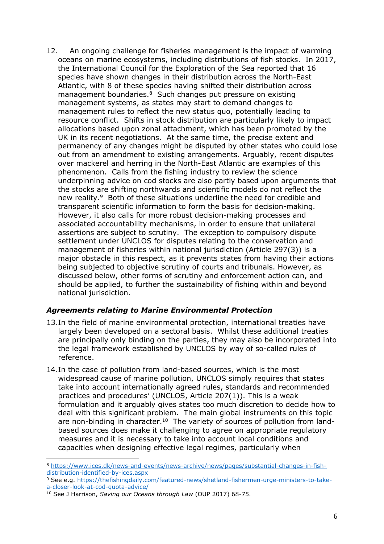12. An ongoing challenge for fisheries management is the impact of warming oceans on marine ecosystems, including distributions of fish stocks. In 2017, the International Council for the Exploration of the Sea reported that 16 species have shown changes in their distribution across the North-East Atlantic, with 8 of these species having shifted their distribution across management boundaries.<sup>8</sup> Such changes put pressure on existing management systems, as states may start to demand changes to management rules to reflect the new status quo, potentially leading to resource conflict. Shifts in stock distribution are particularly likely to impact allocations based upon zonal attachment, which has been promoted by the UK in its recent negotiations. At the same time, the precise extent and permanency of any changes might be disputed by other states who could lose out from an amendment to existing arrangements. Arguably, recent disputes over mackerel and herring in the North-East Atlantic are examples of this phenomenon. Calls from the fishing industry to review the science underpinning advice on cod stocks are also partly based upon arguments that the stocks are shifting northwards and scientific models do not reflect the new reality.<sup>9</sup> Both of these situations underline the need for credible and transparent scientific information to form the basis for decision-making. However, it also calls for more robust decision-making processes and associated accountability mechanisms, in order to ensure that unilateral assertions are subject to scrutiny. The exception to compulsory dispute settlement under UNCLOS for disputes relating to the conservation and management of fisheries within national jurisdiction (Article 297(3)) is a major obstacle in this respect, as it prevents states from having their actions being subjected to objective scrutiny of courts and tribunals. However, as discussed below, other forms of scrutiny and enforcement action can, and should be applied, to further the sustainability of fishing within and beyond national jurisdiction.

## *Agreements relating to Marine Environmental Protection*

- 13.In the field of marine environmental protection, international treaties have largely been developed on a sectoral basis. Whilst these additional treaties are principally only binding on the parties, they may also be incorporated into the legal framework established by UNCLOS by way of so-called rules of reference.
- 14.In the case of pollution from land-based sources, which is the most widespread cause of marine pollution, UNCLOS simply requires that states take into account internationally agreed rules, standards and recommended practices and procedures' (UNCLOS, Article 207(1)). This is a weak formulation and it arguably gives states too much discretion to decide how to deal with this significant problem. The main global instruments on this topic are non-binding in character.<sup>10</sup> The variety of sources of pollution from landbased sources does make it challenging to agree on appropriate regulatory measures and it is necessary to take into account local conditions and capacities when designing effective legal regimes, particularly when

<sup>8</sup> [https://www.ices.dk/news-and-events/news-archive/news/pages/substantial-changes-in-fish](https://www.ices.dk/news-and-events/news-archive/news/pages/substantial-changes-in-fish-distribution-identified-by-ices.aspx)[distribution-identified-by-ices.aspx](https://www.ices.dk/news-and-events/news-archive/news/pages/substantial-changes-in-fish-distribution-identified-by-ices.aspx)

<sup>&</sup>lt;sup>9</sup> See e.g. [https://thefishingdaily.com/featured-news/shetland-fishermen-urge-ministers-to-take](https://thefishingdaily.com/featured-news/shetland-fishermen-urge-ministers-to-take-a-closer-look-at-cod-quota-advice/)[a-closer-look-at-cod-quota-advice/](https://thefishingdaily.com/featured-news/shetland-fishermen-urge-ministers-to-take-a-closer-look-at-cod-quota-advice/)

<sup>10</sup> See J Harrison, *Saving our Oceans through Law* (OUP 2017) 68-75.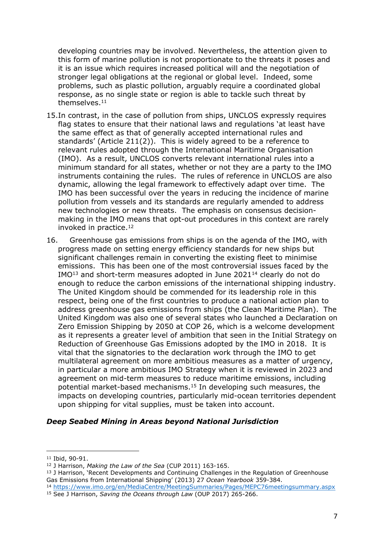developing countries may be involved. Nevertheless, the attention given to this form of marine pollution is not proportionate to the threats it poses and it is an issue which requires increased political will and the negotiation of stronger legal obligations at the regional or global level. Indeed, some problems, such as plastic pollution, arguably require a coordinated global response, as no single state or region is able to tackle such threat by themselves.<sup>11</sup>

- 15.In contrast, in the case of pollution from ships, UNCLOS expressly requires flag states to ensure that their national laws and regulations 'at least have the same effect as that of generally accepted international rules and standards' (Article 211(2)). This is widely agreed to be a reference to relevant rules adopted through the International Maritime Organisation (IMO). As a result, UNCLOS converts relevant international rules into a minimum standard for all states, whether or not they are a party to the IMO instruments containing the rules. The rules of reference in UNCLOS are also dynamic, allowing the legal framework to effectively adapt over time. The IMO has been successful over the years in reducing the incidence of marine pollution from vessels and its standards are regularly amended to address new technologies or new threats. The emphasis on consensus decisionmaking in the IMO means that opt-out procedures in this context are rarely invoked in practice.<sup>12</sup>
- 16. Greenhouse gas emissions from ships is on the agenda of the IMO, with progress made on setting energy efficiency standards for new ships but significant challenges remain in converting the existing fleet to minimise emissions. This has been one of the most controversial issues faced by the IMO<sup>13</sup> and short-term measures adopted in June 2021<sup>14</sup> clearly do not do enough to reduce the carbon emissions of the international shipping industry. The United Kingdom should be commended for its leadership role in this respect, being one of the first countries to produce a national action plan to address greenhouse gas emissions from ships (the Clean Maritime Plan). The United Kingdom was also one of several states who launched a Declaration on Zero Emission Shipping by 2050 at COP 26, which is a welcome development as it represents a greater level of ambition that seen in the Initial Strategy on Reduction of Greenhouse Gas Emissions adopted by the IMO in 2018. It is vital that the signatories to the declaration work through the IMO to get multilateral agreement on more ambitious measures as a matter of urgency, in particular a more ambitious IMO Strategy when it is reviewed in 2023 and agreement on mid-term measures to reduce maritime emissions, including potential market-based mechanisms.<sup>15</sup> In developing such measures, the impacts on developing countries, particularly mid-ocean territories dependent upon shipping for vital supplies, must be taken into account.

#### *Deep Seabed Mining in Areas beyond National Jurisdiction*

<sup>11</sup> Ibid, 90-91.

<sup>12</sup> J Harrison, *Making the Law of the Sea* (CUP 2011) 163-165.

<sup>&</sup>lt;sup>13</sup> J Harrison, 'Recent Developments and Continuing Challenges in the Regulation of Greenhouse Gas Emissions from International Shipping' (2013) 27 *Ocean Yearbook* 359-384.

<sup>14</sup> <https://www.imo.org/en/MediaCentre/MeetingSummaries/Pages/MEPC76meetingsummary.aspx> <sup>15</sup> See J Harrison, *Saving the Oceans through Law* (OUP 2017) 265-266.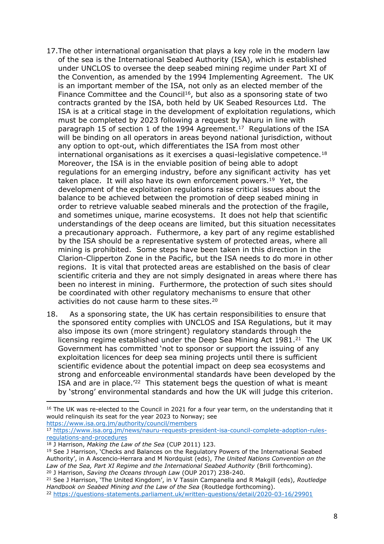- 17.The other international organisation that plays a key role in the modern law of the sea is the International Seabed Authority (ISA), which is established under UNCLOS to oversee the deep seabed mining regime under Part XI of the Convention, as amended by the 1994 Implementing Agreement. The UK is an important member of the ISA, not only as an elected member of the Finance Committee and the Council<sup>16</sup>, but also as a sponsoring state of two contracts granted by the ISA, both held by UK Seabed Resources Ltd. The ISA is at a critical stage in the development of exploitation regulations, which must be completed by 2023 following a request by Nauru in line with paragraph 15 of section 1 of the 1994 Agreement.<sup>17</sup> Regulations of the ISA will be binding on all operators in areas beyond national jurisdiction, without any option to opt-out, which differentiates the ISA from most other international organisations as it exercises a quasi-legislative competence.<sup>18</sup> Moreover, the ISA is in the enviable position of being able to adopt regulations for an emerging industry, before any significant activity has yet taken place. It will also have its own enforcement powers.<sup>19</sup> Yet, the development of the exploitation regulations raise critical issues about the balance to be achieved between the promotion of deep seabed mining in order to retrieve valuable seabed minerals and the protection of the fragile, and sometimes unique, marine ecosystems. It does not help that scientific understandings of the deep oceans are limited, but this situation necessitates a precautionary approach. Futhermore, a key part of any regime established by the ISA should be a representative system of protected areas, where all mining is prohibited. Some steps have been taken in this direction in the Clarion-Clipperton Zone in the Pacific, but the ISA needs to do more in other regions. It is vital that protected areas are established on the basis of clear scientific criteria and they are not simply designated in areas where there has been no interest in mining. Furthermore, the protection of such sites should be coordinated with other regulatory mechanisms to ensure that other activities do not cause harm to these sites.<sup>20</sup>
- 18. As a sponsoring state, the UK has certain responsibilities to ensure that the sponsored entity complies with UNCLOS and ISA Regulations, but it may also impose its own (more stringent) regulatory standards through the licensing regime established under the Deep Sea Mining Act 1981.<sup>21</sup> The UK Government has committed 'not to sponsor or support the issuing of any exploitation licences for deep sea mining projects until there is sufficient scientific evidence about the potential impact on deep sea ecosystems and strong and enforceable environmental standards have been developed by the ISA and are in place.<sup>'22</sup> This statement begs the question of what is meant by 'strong' environmental standards and how the UK will judge this criterion.

<sup>&</sup>lt;sup>16</sup> The UK was re-elected to the Council in 2021 for a four year term, on the understanding that it would relinquish its seat for the year 2023 to Norway; see <https://www.isa.org.jm/authority/council/members>

<sup>17</sup> [https://www.isa.org.jm/news/nauru-requests-president-isa-council-complete-adoption-rules](https://www.isa.org.jm/news/nauru-requests-president-isa-council-complete-adoption-rules-regulations-and-procedures)[regulations-and-procedures](https://www.isa.org.jm/news/nauru-requests-president-isa-council-complete-adoption-rules-regulations-and-procedures)

<sup>18</sup> J Harrison, *Making the Law of the Sea* (CUP 2011) 123.

<sup>19</sup> See J Harrison, 'Checks and Balances on the Regulatory Powers of the International Seabed Authority', in A Ascencio-Herrara and M Nordquist (eds), *The United Nations Convention on the Law of the Sea, Part XI Regime and the International Seabed Authority* (Brill forthcoming). <sup>20</sup> J Harrison, *Saving the Oceans through Law* (OUP 2017) 238-240.

<sup>21</sup> See J Harrison, 'The United Kingdom', in V Tassin Campanella and R Makgill (eds), *Routledge Handbook on Seabed Mining and the Law of the Sea* (Routledge forthcoming).

<sup>22</sup> <https://questions-statements.parliament.uk/written-questions/detail/2020-03-16/29901>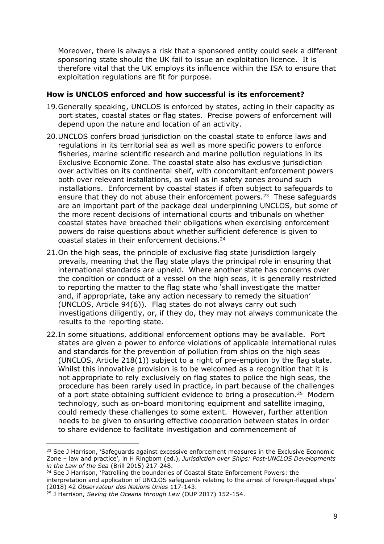Moreover, there is always a risk that a sponsored entity could seek a different sponsoring state should the UK fail to issue an exploitation licence. It is therefore vital that the UK employs its influence within the ISA to ensure that exploitation regulations are fit for purpose.

#### **How is UNCLOS enforced and how successful is its enforcement?**

- 19.Generally speaking, UNCLOS is enforced by states, acting in their capacity as port states, coastal states or flag states. Precise powers of enforcement will depend upon the nature and location of an activity.
- 20.UNCLOS confers broad jurisdiction on the coastal state to enforce laws and regulations in its territorial sea as well as more specific powers to enforce fisheries, marine scientific research and marine pollution regulations in its Exclusive Economic Zone. The coastal state also has exclusive jurisdiction over activities on its continental shelf, with concomitant enforcement powers both over relevant installations, as well as in safety zones around such installations. Enforcement by coastal states if often subject to safeguards to ensure that they do not abuse their enforcement powers.<sup>23</sup> These safeguards are an important part of the package deal underpinning UNCLOS, but some of the more recent decisions of international courts and tribunals on whether coastal states have breached their obligations when exercising enforcement powers do raise questions about whether sufficient deference is given to coastal states in their enforcement decisions.<sup>24</sup>
- 21.On the high seas, the principle of exclusive flag state jurisdiction largely prevails, meaning that the flag state plays the principal role in ensuring that international standards are upheld. Where another state has concerns over the condition or conduct of a vessel on the high seas, it is generally restricted to reporting the matter to the flag state who 'shall investigate the matter and, if appropriate, take any action necessary to remedy the situation' (UNCLOS, Article 94(6)). Flag states do not always carry out such investigations diligently, or, if they do, they may not always communicate the results to the reporting state.
- 22.In some situations, additional enforcement options may be available. Port states are given a power to enforce violations of applicable international rules and standards for the prevention of pollution from ships on the high seas (UNCLOS, Article 218(1)) subject to a right of pre-emption by the flag state. Whilst this innovative provision is to be welcomed as a recognition that it is not appropriate to rely exclusively on flag states to police the high seas, the procedure has been rarely used in practice, in part because of the challenges of a port state obtaining sufficient evidence to bring a prosecution.<sup>25</sup> Modern technology, such as on-board monitoring equipment and satellite imaging, could remedy these challenges to some extent. However, further attention needs to be given to ensuring effective cooperation between states in order to share evidence to facilitate investigation and commencement of

<sup>24</sup> See J Harrison, 'Patrolling the boundaries of Coastal State Enforcement Powers: the interpretation and application of UNCLOS safeguards relating to the arrest of foreign-flagged ships' (2018) 42 *Observateur des Nations Unies* 117-143.

<sup>&</sup>lt;sup>23</sup> See J Harrison, 'Safeguards against excessive enforcement measures in the Exclusive Economic Zone – law and practice', in H Ringbom (ed.), *Jurisdiction over Ships: Post-UNCLOS Developments in the Law of the Sea* (Brill 2015) 217-248.

<sup>25</sup> J Harrison, *Saving the Oceans through Law* (OUP 2017) 152-154.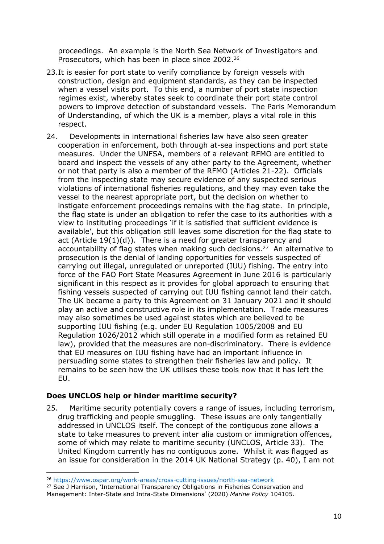proceedings. An example is the North Sea Network of Investigators and Prosecutors, which has been in place since 2002.<sup>26</sup>

- 23.It is easier for port state to verify compliance by foreign vessels with construction, design and equipment standards, as they can be inspected when a vessel visits port. To this end, a number of port state inspection regimes exist, whereby states seek to coordinate their port state control powers to improve detection of substandard vessels. The Paris Memorandum of Understanding, of which the UK is a member, plays a vital role in this respect.
- 24. Developments in international fisheries law have also seen greater cooperation in enforcement, both through at-sea inspections and port state measures. Under the UNFSA, members of a relevant RFMO are entitled to board and inspect the vessels of any other party to the Agreement, whether or not that party is also a member of the RFMO (Articles 21-22). Officials from the inspecting state may secure evidence of any suspected serious violations of international fisheries regulations, and they may even take the vessel to the nearest appropriate port, but the decision on whether to instigate enforcement proceedings remains with the flag state. In principle, the flag state is under an obligation to refer the case to its authorities with a view to instituting proceedings 'if it is satisfied that sufficient evidence is available', but this obligation still leaves some discretion for the flag state to act (Article  $19(1)(d)$ ). There is a need for greater transparency and accountability of flag states when making such decisions.<sup>27</sup> An alternative to prosecution is the denial of landing opportunities for vessels suspected of carrying out illegal, unregulated or unreported (IUU) fishing. The entry into force of the FAO Port State Measures Agreement in June 2016 is particularly significant in this respect as it provides for global approach to ensuring that fishing vessels suspected of carrying out IUU fishing cannot land their catch. The UK became a party to this Agreement on 31 January 2021 and it should play an active and constructive role in its implementation. Trade measures may also sometimes be used against states which are believed to be supporting IUU fishing (e.g. under EU Regulation 1005/2008 and EU Regulation 1026/2012 which still operate in a modified form as retained EU law), provided that the measures are non-discriminatory. There is evidence that EU measures on IUU fishing have had an important influence in persuading some states to strengthen their fisheries law and policy. It remains to be seen how the UK utilises these tools now that it has left the EU.

## **Does UNCLOS help or hinder maritime security?**

25. Maritime security potentially covers a range of issues, including terrorism, drug trafficking and people smuggling. These issues are only tangentially addressed in UNCLOS itself. The concept of the contiguous zone allows a state to take measures to prevent inter alia custom or immigration offences, some of which may relate to maritime security (UNCLOS, Article 33). The United Kingdom currently has no contiguous zone. Whilst it was flagged as an issue for consideration in the 2014 UK National Strategy (p. 40), I am not

<sup>26</sup> <https://www.ospar.org/work-areas/cross-cutting-issues/north-sea-network>

<sup>&</sup>lt;sup>27</sup> See J Harrison, 'International Transparency Obligations in Fisheries Conservation and Management: Inter-State and Intra-State Dimensions' (2020) *Marine Policy* 104105.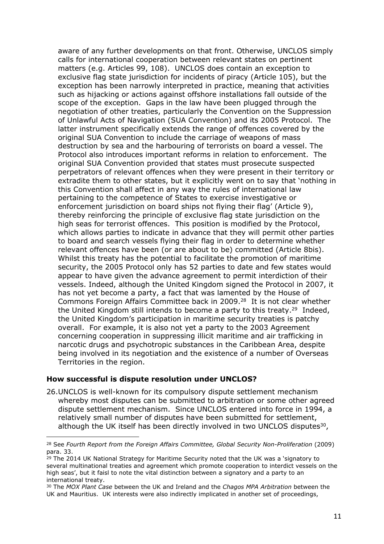aware of any further developments on that front. Otherwise, UNCLOS simply calls for international cooperation between relevant states on pertinent matters (e.g. Articles 99, 108). UNCLOS does contain an exception to exclusive flag state jurisdiction for incidents of piracy (Article 105), but the exception has been narrowly interpreted in practice, meaning that activities such as hijacking or actions against offshore installations fall outside of the scope of the exception. Gaps in the law have been plugged through the negotiation of other treaties, particularly the Convention on the Suppression of Unlawful Acts of Navigation (SUA Convention) and its 2005 Protocol. The latter instrument specifically extends the range of offences covered by the original SUA Convention to include the carriage of weapons of mass destruction by sea and the harbouring of terrorists on board a vessel. The Protocol also introduces important reforms in relation to enforcement. The original SUA Convention provided that states must prosecute suspected perpetrators of relevant offences when they were present in their territory or extradite them to other states, but it explicitly went on to say that 'nothing in this Convention shall affect in any way the rules of international law pertaining to the competence of States to exercise investigative or enforcement jurisdiction on board ships not flying their flag' (Article 9), thereby reinforcing the principle of exclusive flag state jurisdiction on the high seas for terrorist offences. This position is modified by the Protocol, which allows parties to indicate in advance that they will permit other parties to board and search vessels flying their flag in order to determine whether relevant offences have been (or are about to be) committed (Article 8bis). Whilst this treaty has the potential to facilitate the promotion of maritime security, the 2005 Protocol only has 52 parties to date and few states would appear to have given the advance agreement to permit interdiction of their vessels. Indeed, although the United Kingdom signed the Protocol in 2007, it has not yet become a party, a fact that was lamented by the House of Commons Foreign Affairs Committee back in 2009.<sup>28</sup> It is not clear whether the United Kingdom still intends to become a party to this treaty.<sup>29</sup> Indeed, the United Kingdom's participation in maritime security treaties is patchy overall. For example, it is also not yet a party to the 2003 Agreement concerning cooperation in suppressing illicit maritime and air trafficking in narcotic drugs and psychotropic substances in the Caribbean Area, despite being involved in its negotiation and the existence of a number of Overseas Territories in the region.

#### **How successful is dispute resolution under UNCLOS?**

26.UNCLOS is well-known for its compulsory dispute settlement mechanism whereby most disputes can be submitted to arbitration or some other agreed dispute settlement mechanism. Since UNCLOS entered into force in 1994, a relatively small number of disputes have been submitted for settlement, although the UK itself has been directly involved in two UNCLOS disputes<sup>30</sup>,

<sup>28</sup> See *Fourth Report from the Foreign Affairs Committee, Global Security Non-Proliferation* (2009) para. 33.

 $29$  The 2014 UK National Strategy for Maritime Security noted that the UK was a 'signatory to several multinational treaties and agreement which promote cooperation to interdict vessels on the high seas', but it faisl to note the vital distinction between a signatory and a party to an international treaty.

<sup>30</sup> The *MOX Plant Case* between the UK and Ireland and the *Chagos MPA Arbitration* between the UK and Mauritius. UK interests were also indirectly implicated in another set of proceedings,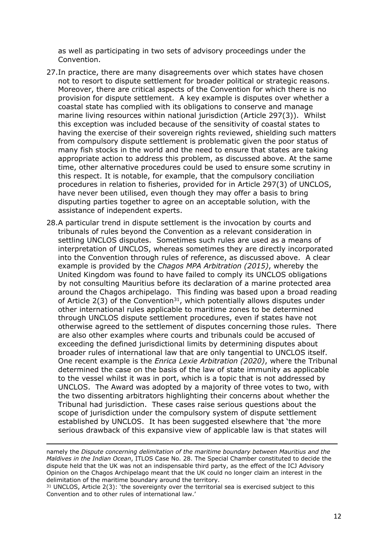as well as participating in two sets of advisory proceedings under the Convention.

- 27.In practice, there are many disagreements over which states have chosen not to resort to dispute settlement for broader political or strategic reasons. Moreover, there are critical aspects of the Convention for which there is no provision for dispute settlement. A key example is disputes over whether a coastal state has complied with its obligations to conserve and manage marine living resources within national jurisdiction (Article 297(3)). Whilst this exception was included because of the sensitivity of coastal states to having the exercise of their sovereign rights reviewed, shielding such matters from compulsory dispute settlement is problematic given the poor status of many fish stocks in the world and the need to ensure that states are taking appropriate action to address this problem, as discussed above. At the same time, other alternative procedures could be used to ensure some scrutiny in this respect. It is notable, for example, that the compulsory conciliation procedures in relation to fisheries, provided for in Article 297(3) of UNCLOS, have never been utilised, even though they may offer a basis to bring disputing parties together to agree on an acceptable solution, with the assistance of independent experts.
- 28.A particular trend in dispute settlement is the invocation by courts and tribunals of rules beyond the Convention as a relevant consideration in settling UNCLOS disputes. Sometimes such rules are used as a means of interpretation of UNCLOS, whereas sometimes they are directly incorporated into the Convention through rules of reference, as discussed above. A clear example is provided by the *Chagos MPA Arbitration (2015)*, whereby the United Kingdom was found to have failed to comply its UNCLOS obligations by not consulting Mauritius before its declaration of a marine protected area around the Chagos archipelago. This finding was based upon a broad reading of Article  $2(3)$  of the Convention<sup>31</sup>, which potentially allows disputes under other international rules applicable to maritime zones to be determined through UNCLOS dispute settlement procedures, even if states have not otherwise agreed to the settlement of disputes concerning those rules. There are also other examples where courts and tribunals could be accused of exceeding the defined jurisdictional limits by determining disputes about broader rules of international law that are only tangential to UNCLOS itself. One recent example is the *Enrica Lexie Arbitration (2020)*, where the Tribunal determined the case on the basis of the law of state immunity as applicable to the vessel whilst it was in port, which is a topic that is not addressed by UNCLOS. The Award was adopted by a majority of three votes to two, with the two dissenting arbitrators highlighting their concerns about whether the Tribunal had jurisdiction. These cases raise serious questions about the scope of jurisdiction under the compulsory system of dispute settlement established by UNCLOS. It has been suggested elsewhere that 'the more serious drawback of this expansive view of applicable law is that states will

namely the *Dispute concerning delimitation of the maritime boundary between Mauritius and the Maldives in the Indian Ocean*, ITLOS Case No. 28. The Special Chamber constituted to decide the dispute held that the UK was not an indispensable third party, as the effect of the ICJ Advisory Opinion on the Chagos Archipelago meant that the UK could no longer claim an interest in the delimitation of the maritime boundary around the territory.

 $31$  UNCLOS, Article 2(3): 'the sovereignty over the territorial sea is exercised subject to this Convention and to other rules of international law.'